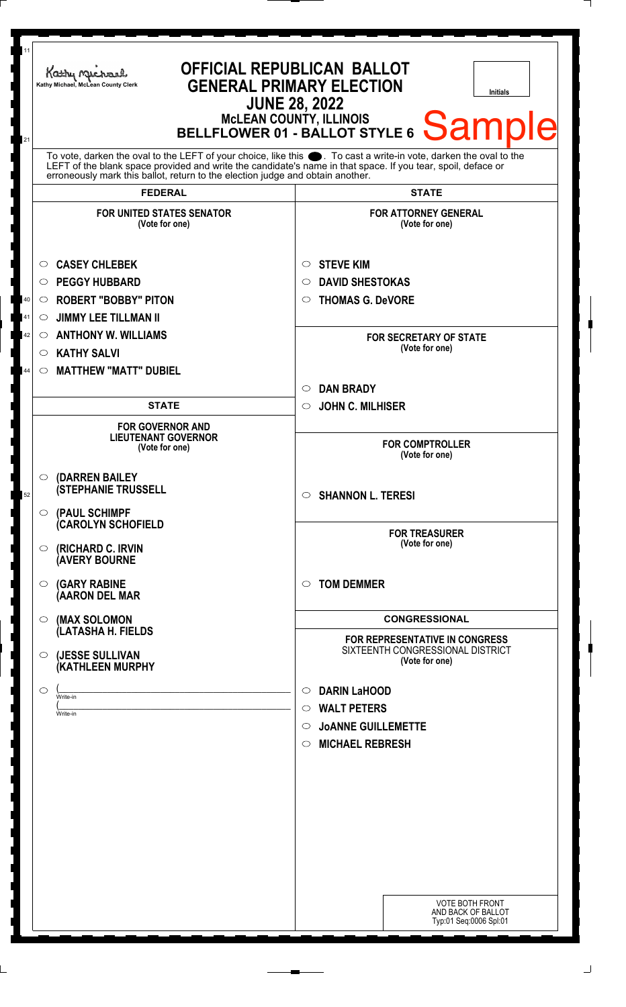| 11<br>21 | <b>OFFICIAL REPUBLICAN BALLOT</b><br>Kathy Michael<br><b>GENERAL PRIMARY ELECTION</b><br>Kathy Michael, McLean County Clerk<br>Initials<br><b>JUNE 28, 2022</b><br>MCLEAN COUNTY, ILLINOIS<br>BELLFLOWER 01 - BALLOT STYLE 6 Sample                                                                                    |                                                                                                                                              |
|----------|------------------------------------------------------------------------------------------------------------------------------------------------------------------------------------------------------------------------------------------------------------------------------------------------------------------------|----------------------------------------------------------------------------------------------------------------------------------------------|
|          | To vote, darken the oval to the LEFT of your choice, like this $\bullet$ . To cast a write-in vote, darken the oval to the LEFT of the blank space provided and write the candidate's name in that space. If you tear, spoil, deface<br>erroneously mark this ballot, return to the election judge and obtain another. |                                                                                                                                              |
|          | <b>FEDERAL</b>                                                                                                                                                                                                                                                                                                         | <b>STATE</b>                                                                                                                                 |
|          | <b>FOR UNITED STATES SENATOR</b><br>(Vote for one)                                                                                                                                                                                                                                                                     | <b>FOR ATTORNEY GENERAL</b><br>(Vote for one)                                                                                                |
| 40<br>41 | <b>CASEY CHLEBEK</b><br>$\circ$<br><b>PEGGY HUBBARD</b><br>$\circ$<br><b>ROBERT "BOBBY" PITON</b><br>$\circ$<br><b>JIMMY LEE TILLMAN II</b><br>$\circ$                                                                                                                                                                 | <b>STEVE KIM</b><br>$\circ$<br><b>DAVID SHESTOKAS</b><br>$\circ$<br><b>THOMAS G. DeVORE</b><br>$\circ$                                       |
| 42<br>44 | <b>ANTHONY W. WILLIAMS</b><br>$\circ$<br><b>KATHY SALVI</b><br>$\circ$<br><b>MATTHEW "MATT" DUBIEL</b><br>$\circ$                                                                                                                                                                                                      | <b>FOR SECRETARY OF STATE</b><br>(Vote for one)                                                                                              |
|          | <b>STATE</b>                                                                                                                                                                                                                                                                                                           | <b>DAN BRADY</b><br>$\circ$                                                                                                                  |
|          | <b>FOR GOVERNOR AND</b><br><b>LIEUTENANT GOVERNOR</b><br>(Vote for one)                                                                                                                                                                                                                                                | <b>JOHN C. MILHISER</b><br>$\circ$<br><b>FOR COMPTROLLER</b><br>(Vote for one)                                                               |
| 52       | (DARREN BAILEY<br>$\circ$<br><b>(STEPHANIE TRUSSELL</b><br>(PAUL SCHIMPF<br>$\circ$<br><b>(CAROLYN SCHOFIELD</b>                                                                                                                                                                                                       | <b>SHANNON L. TERESI</b><br>$\circ$                                                                                                          |
|          | (RICHARD C. IRVIN<br>$\circ$<br><b>AVERY BOURNE</b>                                                                                                                                                                                                                                                                    | <b>FOR TREASURER</b><br>(Vote for one)                                                                                                       |
|          | <b>(GARY RABINE</b><br>O<br>(AARON DEL MAR                                                                                                                                                                                                                                                                             | <b>TOM DEMMER</b><br>$\circ$                                                                                                                 |
|          | (MAX SOLOMON<br>O<br>(LATASHA H. FIELDS                                                                                                                                                                                                                                                                                | <b>CONGRESSIONAL</b>                                                                                                                         |
|          | (JESSE SULLIVAN<br>$\circ$<br>(KATHLEEN MURPHY                                                                                                                                                                                                                                                                         | FOR REPRESENTATIVE IN CONGRESS<br>SIXTEENTH CONGRESSIONAL DISTRICT<br>(Vote for one)                                                         |
|          | $\circ$<br>Write-in<br>Write-in                                                                                                                                                                                                                                                                                        | <b>DARIN LaHOOD</b><br>$\circ$<br><b>WALT PETERS</b><br>$\circ$<br><b>JOANNE GUILLEMETTE</b><br>$\circ$<br><b>MICHAEL REBRESH</b><br>$\circ$ |
|          |                                                                                                                                                                                                                                                                                                                        | <b>VOTE BOTH FRONT</b><br>AND BACK OF BALLOT<br>Typ:01 Seq:0006 Spl:01                                                                       |

 $\Box$